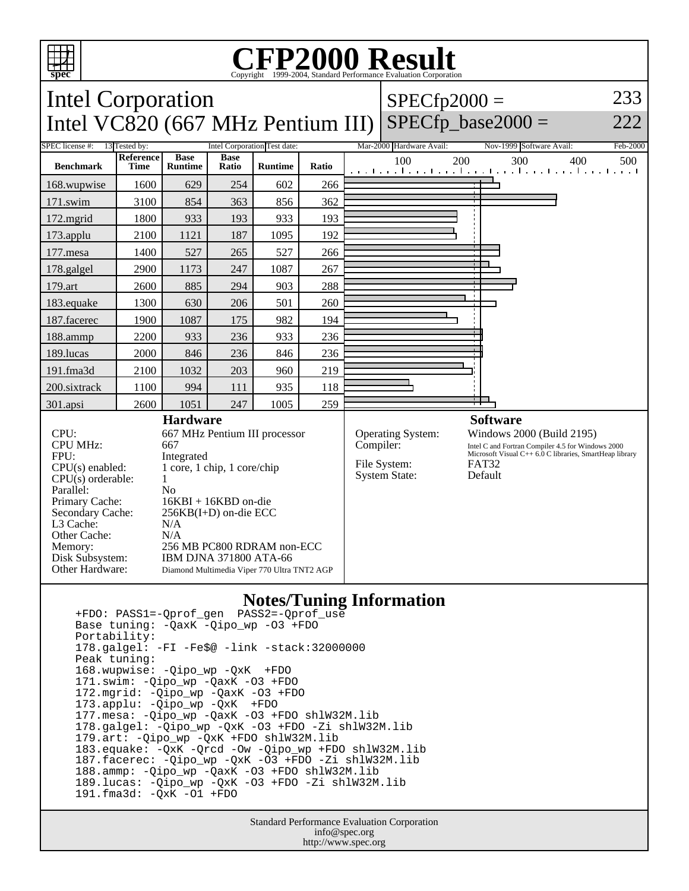

## **CFP2000 Result** Copyright ©1999-2004, Standard I

## Intel Corporation Intel VC820 (667 MHz Pentium III)  $SPECfp2000 =$  $SPECfp\_base2000 =$ 233 222 SPEC license #: 13 Tested by: Intel Corporation Test date: Mar-2000 Hardware Avail: Nov-1999 Software Avail: Feb-2000 **Benchmark Reference Time Base Runtime Base Ratio Runtime Ratio** 100 200 300 400 500

| 168.wupwise  | 1600 | 629  | 254 | 602  | 266 |                |
|--------------|------|------|-----|------|-----|----------------|
| $171$ .swim  | 3100 | 854  | 363 | 856  | 362 | $\blacksquare$ |
| $172$ .mgrid | 1800 | 933  | 193 | 933  | 193 |                |
| 173.applu    | 2100 | 1121 | 187 | 1095 | 192 |                |
| 177.mesa     | 1400 | 527  | 265 | 527  | 266 |                |
| 178.galgel   | 2900 | 1173 | 247 | 1087 | 267 | $\mathbf{I}$   |
| 179.art      | 2600 | 885  | 294 | 903  | 288 | $\mathbf{L}$   |
| 183.equake   | 1300 | 630  | 206 | 501  | 260 |                |
| 187.facerec  | 1900 | 1087 | 175 | 982  | 194 |                |
| 188.ammp     | 2200 | 933  | 236 | 933  | 236 |                |
| 189.lucas    | 2000 | 846  | 236 | 846  | 236 |                |
| 191.fma3d    | 2100 | 1032 | 203 | 960  | 219 |                |
| 200.sixtrack | 1100 | 994  | 111 | 935  | 118 |                |
| 301.apsi     | 2600 | 1051 | 247 | 1005 | 259 | İ<br>T         |

**Hardware**

CPU: 667 MHz Pentium III processor CPU MHz: 667 FPU: Integrated CPU(s) enabled: 1 core, 1 chip, 1 core/chip  $CPU(s)$  orderable:  $1$ Parallel: No Primary Cache:  $16KBI + 16KBD$  on-die Secondary Cache: 256KB(I+D) on-die ECC L3 Cache: N/A Other Cache: N/A Memory: 256 MB PC800 RDRAM non-ECC Disk Subsystem: IBM DJNA 371800 ATA-66 Other Hardware: Diamond Multimedia Viper 770 Ultra TNT2 AGP

File System: FAT32<br>System State: Default System State:

**Software** Operating System: Windows 2000 (Build 2195)<br>Compiler: Intel C and Fortran Compiler 4.5 for Winds

Compiler: Intel C and Fortran Compiler 4.5 for Windows 2000<br>Microsoft Visual C++ 6.0 C libraries, SmartHeap library

## **Notes/Tuning Information**

 +FDO: PASS1=-Qprof\_gen PASS2=-Qprof\_use Base tuning: -QaxK -Qipo\_wp -O3 +FDO Portability: 178.galgel: -FI -Fe\$@ -link -stack:32000000 Peak tuning: 168.wupwise: -Qipo\_wp -QxK +FDO 171.swim: -Qipo\_wp -QaxK -O3 +FDO 172.mgrid: -Qipo\_wp -QaxK -O3 +FDO 173.applu: -Qipo\_wp -QxK +FDO 177.mesa: -Qipo\_wp -QaxK -O3 +FDO shlW32M.lib 178.galgel: -Qipo\_wp -QxK -O3 +FDO -Zi shlW32M.lib 179.art: -Qipo\_wp -QxK +FDO shlW32M.lib 183.equake: -QxK -Qrcd -Ow -Qipo\_wp +FDO shlW32M.lib 187.facerec: -Qipo\_wp -QxK -O3 +FDO -Zi shlW32M.lib 188.ammp: -Qipo\_wp -QaxK -O3 +FDO shlW32M.lib 189.lucas: -Qipo\_wp -QxK -O3 +FDO -Zi shlW32M.lib 191.fma3d: -QxK -O1 +FDO

> Standard Performance Evaluation Corporation info@spec.org http://www.spec.org